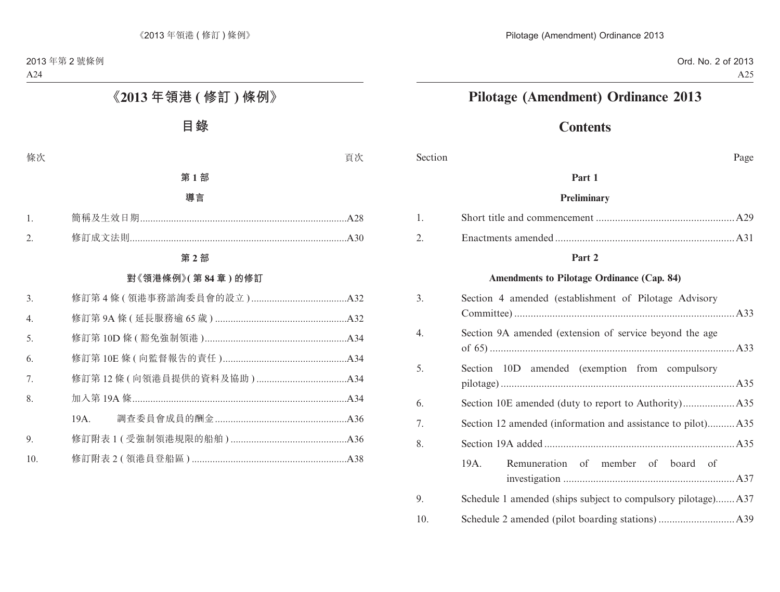# **Pilotage (Amendment) Ordinance 2013**

# **Contents**

Section Page

#### **Part 1**

#### **Preliminary**

#### **Part 2**

#### **Amendments to Pilotage Ordinance (Cap. 84)**

| 3.               | Section 4 amended (establishment of Pilotage Advisory       |
|------------------|-------------------------------------------------------------|
| $\overline{4}$ . | Section 9A amended (extension of service beyond the age     |
| 5.               | Section 10D amended (exemption from compulsory              |
| 6.               |                                                             |
| 7.               | Section 12 amended (information and assistance to pilot)A35 |
| 8.               |                                                             |
|                  | Remuneration of member of board of<br>19A.                  |
| 9.               |                                                             |
| 10.              |                                                             |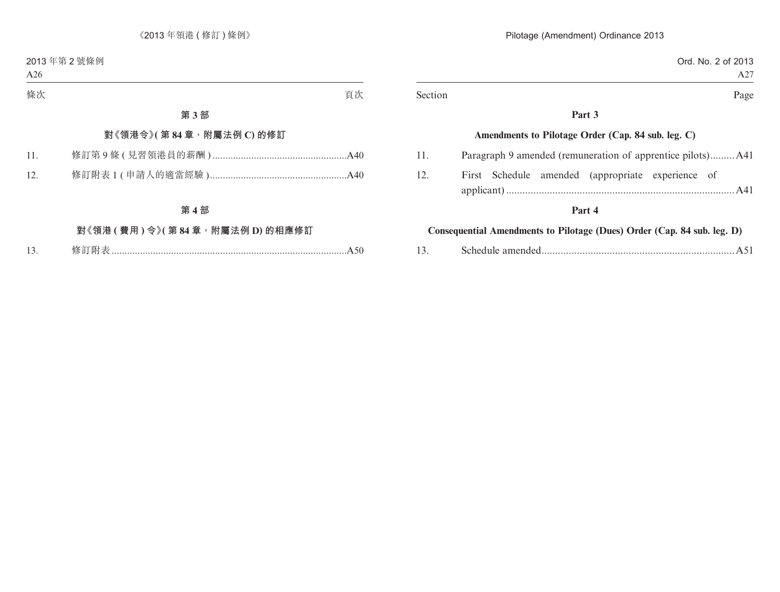|         | Ord. No. 2 of 2013                                 |
|---------|----------------------------------------------------|
|         | A27                                                |
| Section | Page                                               |
|         | Part 3                                             |
|         | Amendments to Pilotage Order (Cap. 84 sub. leg. C) |
| 11.     |                                                    |
| 12.     | First Schedule amended (appropriate experience of  |
|         | Part 4                                             |

### **Consequential Amendments to Pilotage (Dues) Order (Cap. 84 sub. leg. D)**

| 13. |  |  |  |
|-----|--|--|--|
|-----|--|--|--|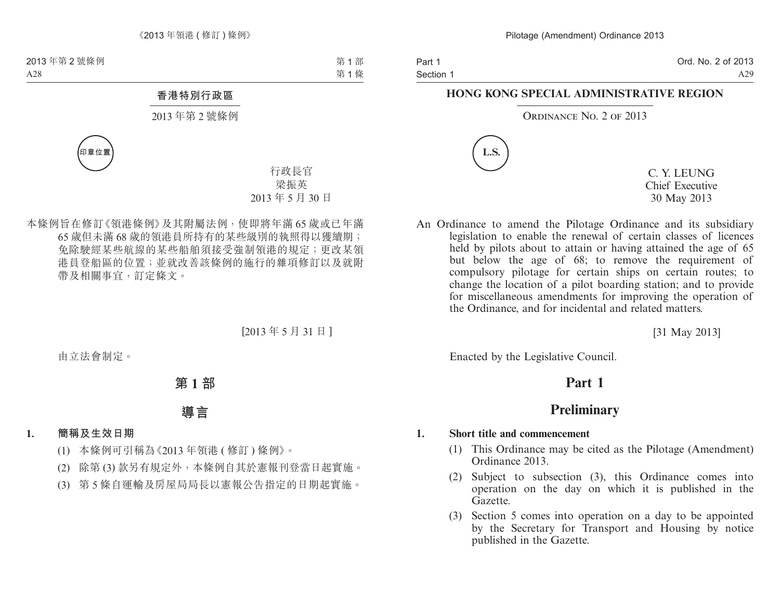Ord. No. 2 of 2013 A29

#### **HONG KONG SPECIAL ADMINISTRATIVE REGION**

#### ORDINANCE NO. 2 OF 2013



C. Y. LEUNG Chief Executive 30 May 2013

An Ordinance to amend the Pilotage Ordinance and its subsidiary legislation to enable the renewal of certain classes of licences held by pilots about to attain or having attained the age of 65 but below the age of 68; to remove the requirement of compulsory pilotage for certain ships on certain routes; to change the location of a pilot boarding station; and to provide for miscellaneous amendments for improving the operation of the Ordinance, and for incidental and related matters.

[31 May 2013]

Enacted by the Legislative Council.

# **Part 1**

# **Preliminary**

#### **1. Short title and commencement**

- (1) This Ordinance may be cited as the Pilotage (Amendment) Ordinance 2013.
- (2) Subject to subsection (3), this Ordinance comes into operation on the day on which it is published in the Gazette.
- (3) Section 5 comes into operation on a day to be appointed by the Secretary for Transport and Housing by notice published in the Gazette.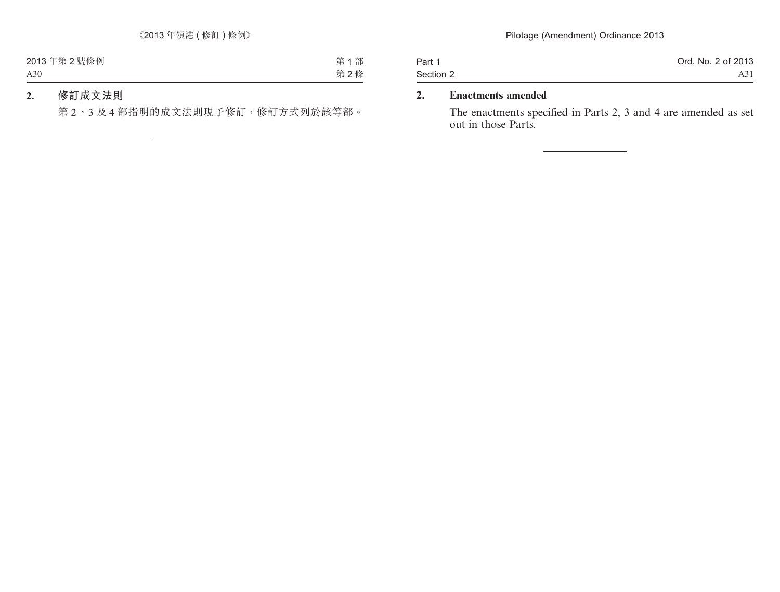| Part 1    | Ord. No. 2 of 2013 |
|-----------|--------------------|
| Section 2 | A31                |

### **2. Enactments amended**

The enactments specified in Parts 2, 3 and 4 are amended as set out in those Parts.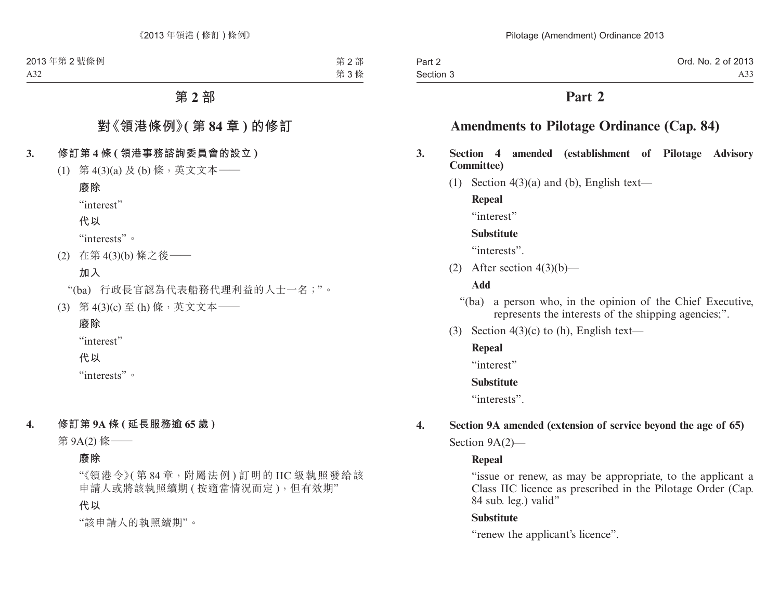| Part 2    | Ord. No. 2 of 2013 |
|-----------|--------------------|
| Section 3 | A33                |

## **Part 2**

# **Amendments to Pilotage Ordinance (Cap. 84)**

- **3. Section 4 amended (establishment of Pilotage Advisory Committee)**
	- (1) Section  $4(3)(a)$  and (b), English text—

**Repeal**

"interest"

#### **Substitute**

"interests".

(2) After section  $4(3)(b)$ —

#### **Add**

- "(ba) a person who, in the opinion of the Chief Executive, represents the interests of the shipping agencies;".
- (3) Section  $4(3)(c)$  to (h), English text—

#### **Repeal**

"interest"

#### **Substitute**

"interests".

# **4. Section 9A amended (extension of service beyond the age of 65)**

Section 9A(2)—

#### **Repeal**

"issue or renew, as may be appropriate, to the applicant a Class IIC licence as prescribed in the Pilotage Order (Cap. 84 sub. leg.) valid"

#### **Substitute**

"renew the applicant's licence".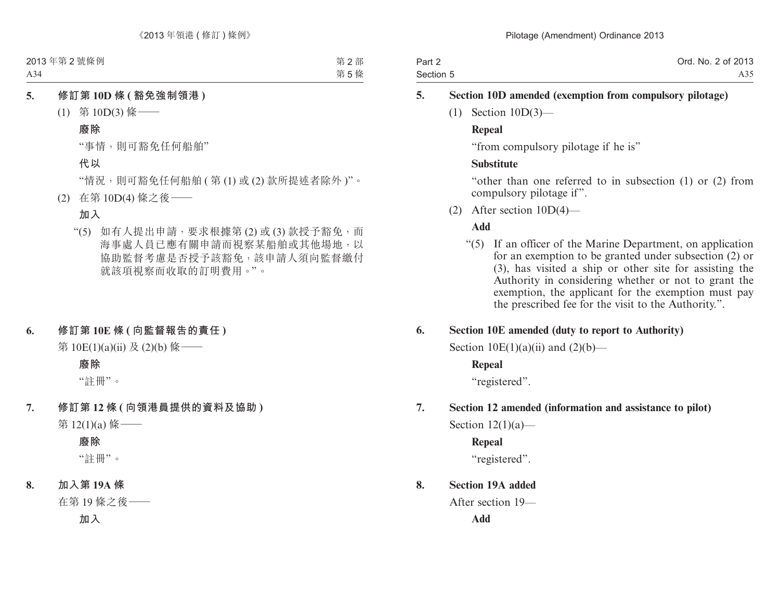| Part 2    | Ord. No. 2 of 2013 |
|-----------|--------------------|
| Section 5 | A35                |

#### **5. Section 10D amended (exemption from compulsory pilotage)**

(1) Section 10D(3)—

#### **Repeal**

"from compulsory pilotage if he is"

#### **Substitute**

"other than one referred to in subsection (1) or (2) from compulsory pilotage if".

(2) After section 10D(4)—

#### **Add**

"(5) If an officer of the Marine Department, on application for an exemption to be granted under subsection (2) or (3), has visited a ship or other site for assisting the Authority in considering whether or not to grant the exemption, the applicant for the exemption must pay the prescribed fee for the visit to the Authority.".

#### **6. Section 10E amended (duty to report to Authority)**

Section  $10E(1)(a)(ii)$  and  $(2)(b)$ —

#### **Repeal**

"registered".

#### **7. Section 12 amended (information and assistance to pilot)**

Section  $12(1)(a)$ —

**Repeal** "registered".

# **8. Section 19A added**

After section 19— **Add**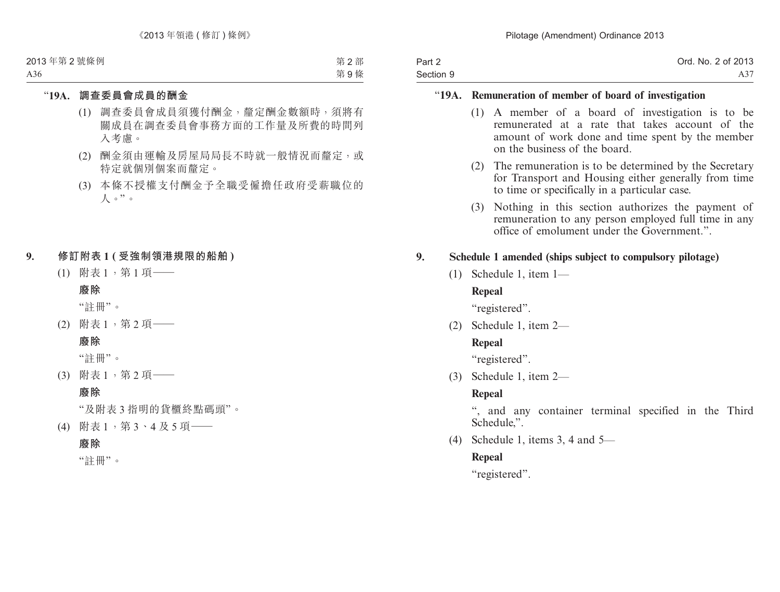| Part 2    | Ord. No. 2 of 2013 |
|-----------|--------------------|
| Section 9 | A37                |

#### "**19A. Remuneration of member of board of investigation**

- (1) A member of a board of investigation is to be remunerated at a rate that takes account of the amount of work done and time spent by the member on the business of the board.
- (2) The remuneration is to be determined by the Secretary for Transport and Housing either generally from time to time or specifically in a particular case.
- (3) Nothing in this section authorizes the payment of remuneration to any person employed full time in any office of emolument under the Government.".

#### **9. Schedule 1 amended (ships subject to compulsory pilotage)**

(1) Schedule 1, item 1—

#### **Repeal**

"registered".

(2) Schedule 1, item 2—

#### **Repeal**

"registered".

(3) Schedule 1, item 2—

#### **Repeal**

", and any container terminal specified in the Third Schedule,".

(4) Schedule 1, items 3, 4 and 5—

#### **Repeal**

"registered".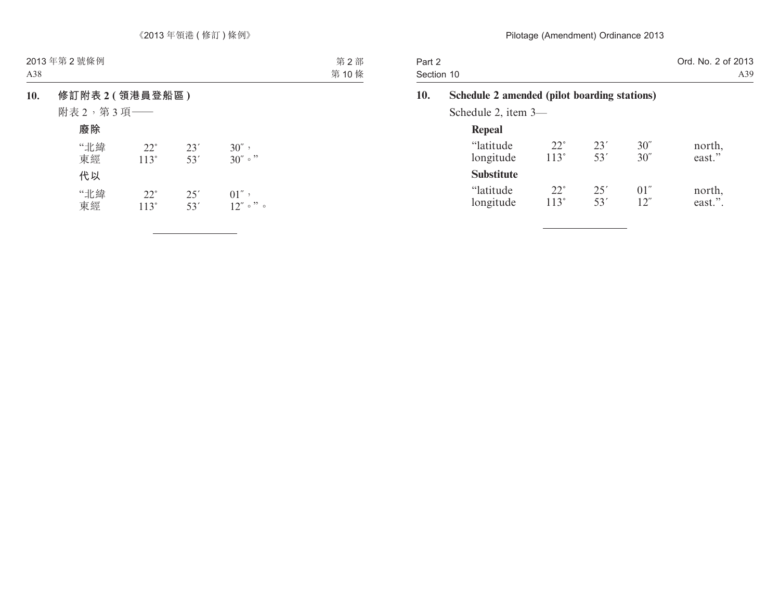| Part 2<br>Section 10 |                                              |                           |            |              | Ord. No. 2 of 2013<br>A39 |
|----------------------|----------------------------------------------|---------------------------|------------|--------------|---------------------------|
| 10.                  | Schedule 2 amended (pilot boarding stations) |                           |            |              |                           |
|                      | Schedule 2, item $3-$                        |                           |            |              |                           |
|                      | Repeal                                       |                           |            |              |                           |
|                      | "latitude"<br>longitude                      | $22^\circ$<br>$113^\circ$ | 23'<br>53' | 30''<br>30'' | north,<br>east."          |
|                      | <b>Substitute</b>                            |                           |            |              |                           |
|                      | "latitude<br>longitude                       | $22^\circ$<br>113°        | 25'<br>53' | 01''<br>12"  | north,<br>east.".         |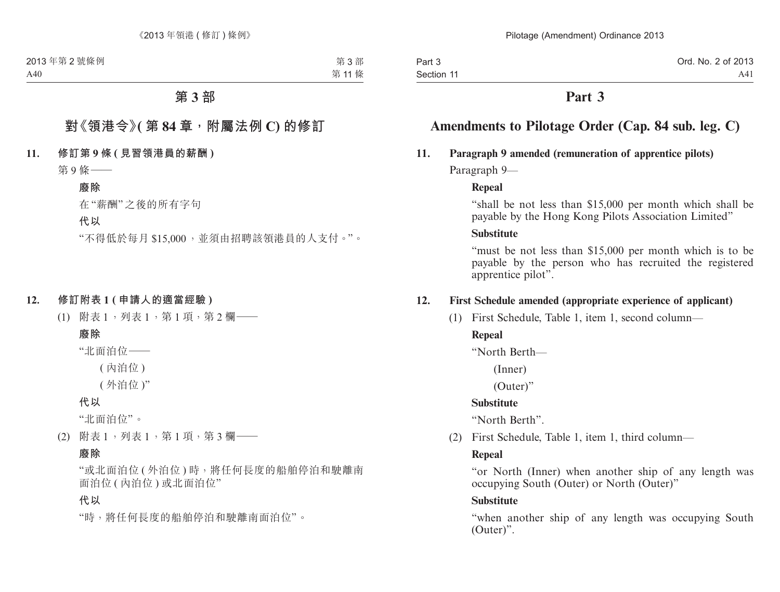# **Part 3**

# **Amendments to Pilotage Order (Cap. 84 sub. leg. C)**

#### **11. Paragraph 9 amended (remuneration of apprentice pilots)**

Paragraph 9—

#### **Repeal**

"shall be not less than \$15,000 per month which shall be payable by the Hong Kong Pilots Association Limited"

#### **Substitute**

"must be not less than \$15,000 per month which is to be payable by the person who has recruited the registered apprentice pilot".

#### **12. First Schedule amended (appropriate experience of applicant)**

(1) First Schedule, Table 1, item 1, second column—

# **Repeal**

"North Berth—

(Inner)

(Outer)"

#### **Substitute**

"North Berth".

(2) First Schedule, Table 1, item 1, third column—

#### **Repeal**

"or North (Inner) when another ship of any length was occupying South (Outer) or North (Outer)"

#### **Substitute**

"when another ship of any length was occupying South (Outer)".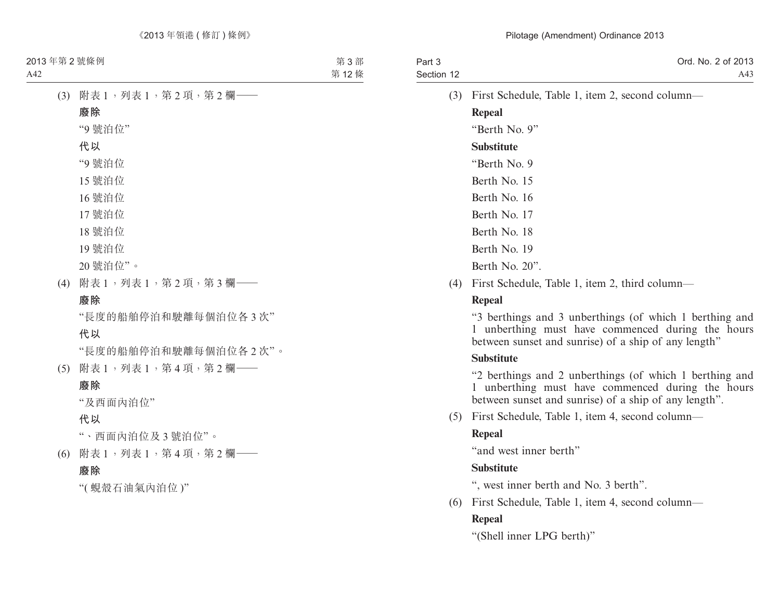| Part 3<br>Section 12 | Ord. No. 2 of 2013<br>A43                       |
|----------------------|-------------------------------------------------|
| (3)                  | First Schedule, Table 1, item 2, second column— |
|                      | Repeal                                          |
|                      | "Berth No. 9"                                   |
|                      | <b>Substitute</b>                               |
|                      | "Berth No. 9"                                   |
|                      | Berth No. 15                                    |
|                      | Berth No. 16                                    |
|                      | Berth No. 17                                    |
|                      | Berth No. 18                                    |
|                      | Berth No. 19                                    |
|                      | Berth No. $20$ ".                               |

(4) First Schedule, Table 1, item 2, third column—

#### **Repeal**

"3 berthings and 3 unberthings (of which 1 berthing and 1 unberthing must have commenced during the hours between sunset and sunrise) of a ship of any length"

#### **Substitute**

"2 berthings and 2 unberthings (of which 1 berthing and 1 unberthing must have commenced during the hours between sunset and sunrise) of a ship of any length".

(5) First Schedule, Table 1, item 4, second column—

#### **Repeal**

"and west inner berth"

#### **Substitute**

", west inner berth and No. 3 berth".

(6) First Schedule, Table 1, item 4, second column— **Repeal**

"(Shell inner LPG berth)"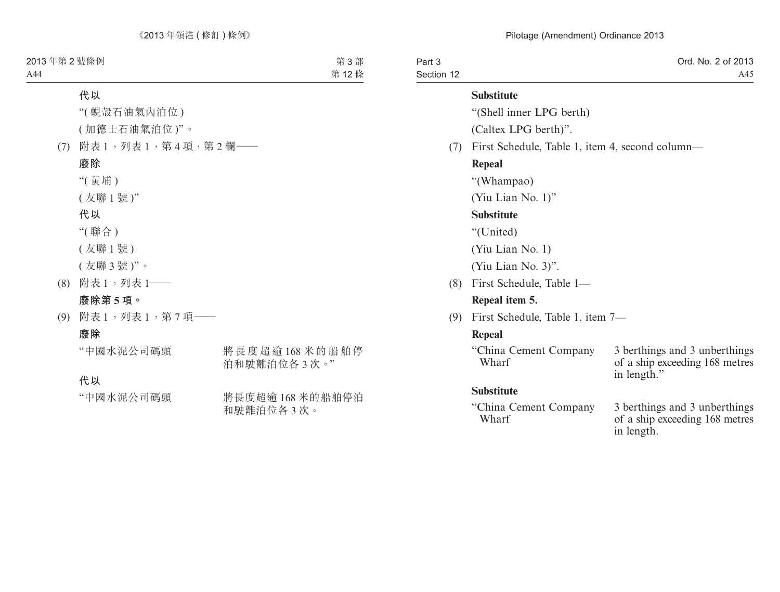| Part 3<br>Section 12 |                                                 | Ord. No. 2 of 2013<br>A45                                                      |  |  |  |
|----------------------|-------------------------------------------------|--------------------------------------------------------------------------------|--|--|--|
|                      | <b>Substitute</b>                               |                                                                                |  |  |  |
|                      | "(Shell inner LPG berth)                        |                                                                                |  |  |  |
|                      | (Caltex LPG berth)".                            |                                                                                |  |  |  |
| (7)                  | First Schedule, Table 1, item 4, second column— |                                                                                |  |  |  |
|                      | Repeal                                          |                                                                                |  |  |  |
|                      | "(Whampao)                                      |                                                                                |  |  |  |
|                      | (Yiu Lian No. 1)"                               |                                                                                |  |  |  |
|                      | <b>Substitute</b>                               |                                                                                |  |  |  |
|                      | "(United)                                       |                                                                                |  |  |  |
|                      | (Yiu Lian No. 1)                                |                                                                                |  |  |  |
|                      | (Yiu Lian No. 3)".                              |                                                                                |  |  |  |
| (8)                  | First Schedule, Table 1-                        |                                                                                |  |  |  |
|                      | Repeal item 5.                                  |                                                                                |  |  |  |
| (9)                  | First Schedule, Table 1, item 7—                |                                                                                |  |  |  |
|                      | Repeal                                          |                                                                                |  |  |  |
|                      | "China Cement Company"<br>Wharf                 | 3 berthings and 3 unberthings<br>of a ship exceeding 168 metres<br>in length." |  |  |  |
|                      | <b>Substitute</b>                               |                                                                                |  |  |  |
|                      | "China Cement Company"<br>Wharf                 | 3 berthings and 3 unberthings<br>of a ship exceeding 168 metres<br>in length.  |  |  |  |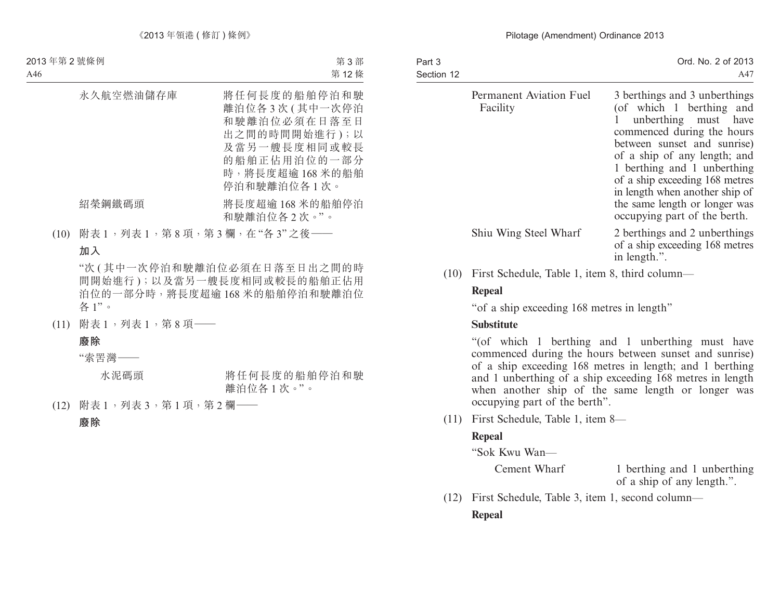| Part 3<br>Section 12                | Ord. No. 2 of 2013<br>A47                                                                                                                                                                                                                                                                                                                          |
|-------------------------------------|----------------------------------------------------------------------------------------------------------------------------------------------------------------------------------------------------------------------------------------------------------------------------------------------------------------------------------------------------|
| Permanent Aviation Fuel<br>Facility | 3 berthings and 3 unberthings<br>(of which 1 berthing and<br>unberthing must have<br>commenced during the hours<br>between sunset and sunrise)<br>of a ship of any length; and<br>1 berthing and 1 unberthing<br>of a ship exceeding 168 metres<br>in length when another ship of<br>the same length or longer was<br>occupying part of the berth. |
| Shiu Wing Steel Wharf               | 2 berthings and 2 unberthings<br>of a ship exceeding 168 metres<br>in length.".                                                                                                                                                                                                                                                                    |

(10) First Schedule, Table 1, item 8, third column—

#### **Repeal**

"of a ship exceeding 168 metres in length"

#### **Substitute**

"(of which 1 berthing and 1 unberthing must have commenced during the hours between sunset and sunrise) of a ship exceeding 168 metres in length; and 1 berthing and 1 unberthing of a ship exceeding 168 metres in length when another ship of the same length or longer was occupying part of the berth".

(11) First Schedule, Table 1, item 8—

#### **Repeal**

"Sok Kwu Wan—

Cement Wharf 1 berthing and 1 unberthing of a ship of any length.".

(12) First Schedule, Table 3, item 1, second column— **Repeal**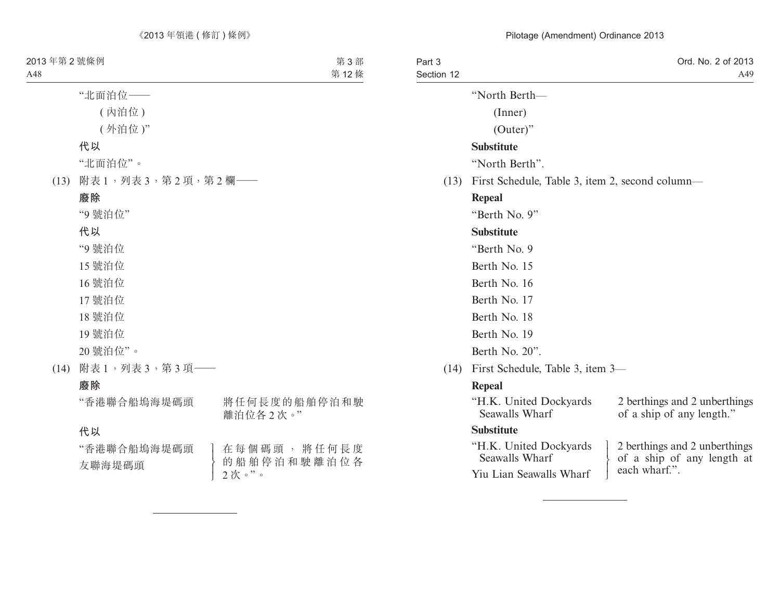| Part 3<br>Section 12 |                                                 |  | Ord. No. 2 of 2013<br>A49                                                    |  |
|----------------------|-------------------------------------------------|--|------------------------------------------------------------------------------|--|
|                      | "North Berth-                                   |  |                                                                              |  |
|                      | (Inner)                                         |  |                                                                              |  |
|                      | $(Outer)$ "                                     |  |                                                                              |  |
|                      | <b>Substitute</b>                               |  |                                                                              |  |
|                      | "North Berth".                                  |  |                                                                              |  |
| (13)                 | First Schedule, Table 3, item 2, second column— |  |                                                                              |  |
|                      | Repeal                                          |  |                                                                              |  |
|                      | "Berth No. 9"                                   |  |                                                                              |  |
|                      | <b>Substitute</b>                               |  |                                                                              |  |
|                      | "Berth No. 9                                    |  |                                                                              |  |
|                      | Berth No. 15                                    |  |                                                                              |  |
|                      | Berth No. 16                                    |  |                                                                              |  |
|                      | Berth No. 17                                    |  |                                                                              |  |
|                      | Berth No. 18                                    |  |                                                                              |  |
|                      | Berth No. 19                                    |  |                                                                              |  |
|                      | Berth No. 20".                                  |  |                                                                              |  |
| (14)                 | First Schedule, Table 3, item 3—                |  |                                                                              |  |
|                      | Repeal                                          |  |                                                                              |  |
|                      | "H.K. United Dockyards<br>Seawalls Wharf        |  | 2 berthings and 2 unberthings<br>of a ship of any length."                   |  |
|                      | <b>Substitute</b>                               |  |                                                                              |  |
|                      | "H.K. United Dockyards<br>Seawalls Wharf        |  | 2 berthings and 2 unberthings<br>of a ship of any length at<br>each wharf.". |  |
|                      | Yiu Lian Seawalls Wharf                         |  |                                                                              |  |